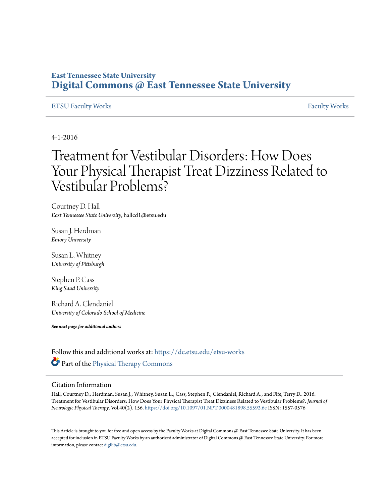## **East Tennessee State University [Digital Commons @ East Tennessee State University](https://dc.etsu.edu?utm_source=dc.etsu.edu%2Fetsu-works%2F552&utm_medium=PDF&utm_campaign=PDFCoverPages)**

### [ETSU Faculty Works](https://dc.etsu.edu/etsu-works?utm_source=dc.etsu.edu%2Fetsu-works%2F552&utm_medium=PDF&utm_campaign=PDFCoverPages) [Faculty Works](https://dc.etsu.edu/faculty-works?utm_source=dc.etsu.edu%2Fetsu-works%2F552&utm_medium=PDF&utm_campaign=PDFCoverPages) Faculty Works Faculty Works Faculty Works Faculty Works Faculty Works Faculty Works Faculty Morks Faculty Morks Faculty Morks Faculty Morks Faculty Morks Faculty Morks Faculty Morks Faculty

4-1-2016

# Treatment for Vestibular Disorders: How Does Your Physical Therapist Treat Dizziness Related to Vestibular Problems?

Courtney D. Hall *East Tennessee State University*, hallcd1@etsu.edu

Susan J. Herdman *Emory University*

Susan L. Whitney *University of Pittsburgh*

Stephen P. Cass *King Saud University*

Richard A. Clendaniel *University of Colorado School of Medicine*

*See next page for additional authors*

Follow this and additional works at: [https://dc.etsu.edu/etsu-works](https://dc.etsu.edu/etsu-works?utm_source=dc.etsu.edu%2Fetsu-works%2F552&utm_medium=PDF&utm_campaign=PDFCoverPages) Part of the [Physical Therapy Commons](http://network.bepress.com/hgg/discipline/754?utm_source=dc.etsu.edu%2Fetsu-works%2F552&utm_medium=PDF&utm_campaign=PDFCoverPages)

#### Citation Information

Hall, Courtney D.; Herdman, Susan J.; Whitney, Susan L.; Cass, Stephen P.; Clendaniel, Richard A.; and Fife, Terry D.. 2016. Treatment for Vestibular Disorders: How Does Your Physical Therapist Treat Dizziness Related to Vestibular Problems?. *Journal of Neurologic Physical Therapy*. Vol.40(2). 156. <https://doi.org/10.1097/01.NPT.0000481898.55592.6e> ISSN: 1557-0576

This Article is brought to you for free and open access by the Faculty Works at Digital Commons  $\varpi$  East Tennessee State University. It has been accepted for inclusion in ETSU Faculty Works by an authorized administrator of Digital Commons @ East Tennessee State University. For more information, please contact [digilib@etsu.edu.](mailto:digilib@etsu.edu)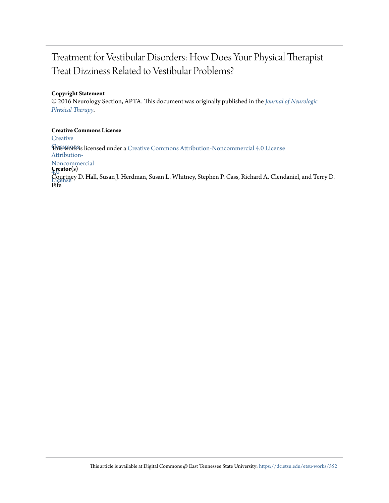## Treatment for Vestibular Disorders: How Does Your Physical Therapist Treat Dizziness Related to Vestibular Problems?

### **Copyright Statement**

© 2016 Neurology Section, APTA. This document was originally published in the *[Journal of Neurologic](https://doi.org/10.1097/01.NPT.0000481898.55592.6e) [Physical Therapy](https://doi.org/10.1097/01.NPT.0000481898.55592.6e)*.

**Creative Commons License [Creative](http://creativecommons.org/licenses/by-nc/4.0/) Fhis work is licensed under a** [Creative Commons Attribution-Noncommercial 4.0 License](http://creativecommons.org/licenses/by-nc/4.0/) Attribution-Noncommercial 4.0 **Creator(s)** Courtney D. Hall, Susan J. Herdman, Susan L. Whitney, Stephen P. Cass, Richard A. Clendaniel, and Terry D.<br>License Fife